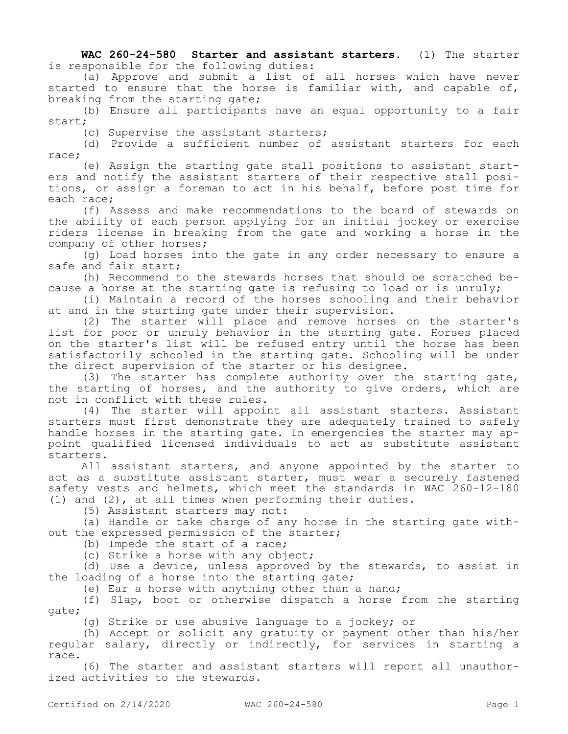**WAC 260-24-580 Starter and assistant starters.** (1) The starter is responsible for the following duties:

(a) Approve and submit a list of all horses which have never started to ensure that the horse is familiar with, and capable of, breaking from the starting gate;

(b) Ensure all participants have an equal opportunity to a fair start;

(c) Supervise the assistant starters;

(d) Provide a sufficient number of assistant starters for each race;

(e) Assign the starting gate stall positions to assistant starters and notify the assistant starters of their respective stall positions, or assign a foreman to act in his behalf, before post time for each race;

(f) Assess and make recommendations to the board of stewards on the ability of each person applying for an initial jockey or exercise riders license in breaking from the gate and working a horse in the company of other horses;

(g) Load horses into the gate in any order necessary to ensure a safe and fair start;

(h) Recommend to the stewards horses that should be scratched because a horse at the starting gate is refusing to load or is unruly;

(i) Maintain a record of the horses schooling and their behavior at and in the starting gate under their supervision.

(2) The starter will place and remove horses on the starter's list for poor or unruly behavior in the starting gate. Horses placed on the starter's list will be refused entry until the horse has been satisfactorily schooled in the starting gate. Schooling will be under the direct supervision of the starter or his designee.

(3) The starter has complete authority over the starting gate, the starting of horses, and the authority to give orders, which are not in conflict with these rules.

(4) The starter will appoint all assistant starters. Assistant starters must first demonstrate they are adequately trained to safely handle horses in the starting gate. In emergencies the starter may appoint qualified licensed individuals to act as substitute assistant starters.

All assistant starters, and anyone appointed by the starter to act as a substitute assistant starter, must wear a securely fastened safety vests and helmets, which meet the standards in WAC 260-12-180 (1) and (2), at all times when performing their duties.

(5) Assistant starters may not:

(a) Handle or take charge of any horse in the starting gate without the expressed permission of the starter;

(b) Impede the start of a race;

(c) Strike a horse with any object;

(d) Use a device, unless approved by the stewards, to assist in the loading of a horse into the starting gate;

(e) Ear a horse with anything other than a hand;

(f) Slap, boot or otherwise dispatch a horse from the starting gate;

(g) Strike or use abusive language to a jockey; or

(h) Accept or solicit any gratuity or payment other than his/her regular salary, directly or indirectly, for services in starting a race.

(6) The starter and assistant starters will report all unauthorized activities to the stewards.